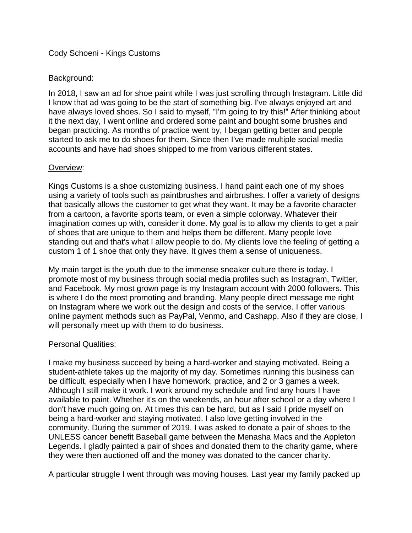# Cody Schoeni - Kings Customs

# Background:

In 2018, I saw an ad for shoe paint while I was just scrolling through Instagram. Little did I know that ad was going to be the start of something big. I've always enjoyed art and have always loved shoes. So I said to myself, "I'm going to try this!" After thinking about it the next day, I went online and ordered some paint and bought some brushes and began practicing. As months of practice went by, I began getting better and people started to ask me to do shoes for them. Since then I've made multiple social media accounts and have had shoes shipped to me from various different states.

### Overview:

Kings Customs is a shoe customizing business. I hand paint each one of my shoes using a variety of tools such as paintbrushes and airbrushes. I offer a variety of designs that basically allows the customer to get what they want. It may be a favorite character from a cartoon, a favorite sports team, or even a simple colorway. Whatever their imagination comes up with, consider it done. My goal is to allow my clients to get a pair of shoes that are unique to them and helps them be different. Many people love standing out and that's what I allow people to do. My clients love the feeling of getting a custom 1 of 1 shoe that only they have. It gives them a sense of uniqueness.

My main target is the youth due to the immense sneaker culture there is today. I promote most of my business through social media profiles such as Instagram, Twitter, and Facebook. My most grown page is my Instagram account with 2000 followers. This is where I do the most promoting and branding. Many people direct message me right on Instagram where we work out the design and costs of the service. I offer various online payment methods such as PayPal, Venmo, and Cashapp. Also if they are close, I will personally meet up with them to do business.

### **Personal Qualities:**

I make my business succeed by being a hard-worker and staying motivated. Being a student-athlete takes up the majority of my day. Sometimes running this business can be difficult, especially when I have homework, practice, and 2 or 3 games a week. Although I still make it work. I work around my schedule and find any hours I have available to paint. Whether it's on the weekends, an hour after school or a day where I don't have much going on. At times this can be hard, but as I said I pride myself on being a hard-worker and staying motivated. I also love getting involved in the community. During the summer of 2019, I was asked to donate a pair of shoes to the UNLESS cancer benefit Baseball game between the Menasha Macs and the Appleton Legends. I gladly painted a pair of shoes and donated them to the charity game, where they were then auctioned off and the money was donated to the cancer charity.

A particular struggle I went through was moving houses. Last year my family packed up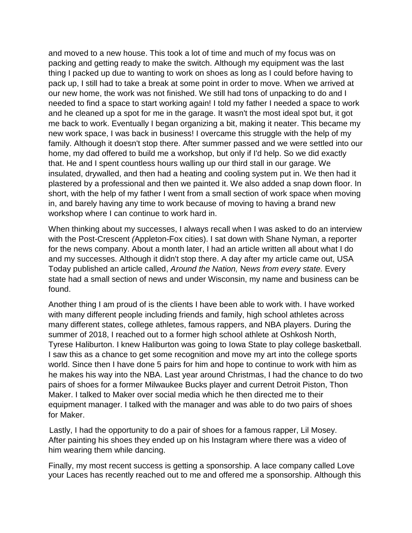and moved to a new house. This took a lot of time and much of my focus was on packing and getting ready to make the switch. Although my equipment was the last thing I packed up due to wanting to work on shoes as long as I could before having to pack up, I still had to take a break at some point in order to move. When we arrived at our new home, the work was not finished. We still had tons of unpacking to do and I needed to find a space to start working again! I told my father I needed a space to work and he cleaned up a spot for me in the garage. It wasn't the most ideal spot but, it got me back to work. Eventually I began organizing a bit, making it neater. This became my new work space, I was back in business! I overcame this struggle with the help of my family. Although it doesn't stop there. After summer passed and we were settled into our home, my dad offered to build me a workshop, but only if I'd help. So we did exactly that. He and I spent countless hours walling up our third stall in our garage. We insulated, drywalled, and then had a heating and cooling system put in. We then had it plastered by a professional and then we painted it. We also added a snap down floor. In short, with the help of my father I went from a small section of work space when moving in, and barely having any time to work because of moving to having a brand new workshop where I can continue to work hard in.

When thinking about my successes, I always recall when I was asked to do an interview with the Post-Crescent *(*Appleton-Fox cities). I sat down with Shane Nyman, a reporter for the news company. About a month later, I had an article written all about what I do and my successes. Although it didn't stop there. A day after my article came out, USA Today published an article called, *Around the Nation,* Ne*ws from every state.* Every state had a small section of news and under Wisconsin, my name and business can be found.

Another thing I am proud of is the clients I have been able to work with. I have worked with many different people including friends and family, high school athletes across many different states, college athletes, famous rappers, and NBA players. During the summer of 2018, I reached out to a former high school athlete at Oshkosh North, Tyrese Haliburton. I knew Haliburton was going to Iowa State to play college basketball. I saw this as a chance to get some recognition and move my art into the college sports world. Since then I have done 5 pairs for him and hope to continue to work with him as he makes his way into the NBA. Last year around Christmas, I had the chance to do two pairs of shoes for a former Milwaukee Bucks player and current Detroit Piston, Thon Maker. I talked to Maker over social media which he then directed me to their equipment manager. I talked with the manager and was able to do two pairs of shoes for Maker.

Lastly, I had the opportunity to do a pair of shoes for a famous rapper, Lil Mosey. After painting his shoes they ended up on his Instagram where there was a video of him wearing them while dancing.

Finally, my most recent success is getting a sponsorship. A lace company called Love your Laces has recently reached out to me and offered me a sponsorship. Although this